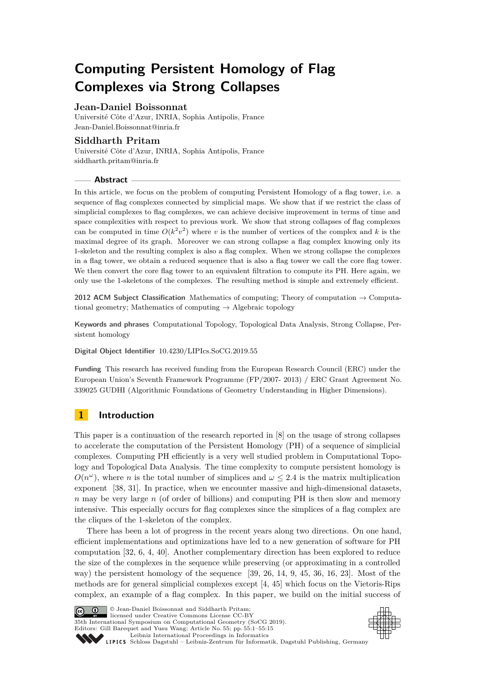# **Computing Persistent Homology of Flag Complexes via Strong Collapses**

## **Jean-Daniel Boissonnat**

Université Côte d'Azur, INRIA, Sophia Antipolis, France [Jean-Daniel.Boissonnat@inria.fr](mailto:Jean-Daniel.Boissonnat@inria.fr)

## **Siddharth Pritam**

Université Côte d'Azur, INRIA, Sophia Antipolis, France [siddharth.pritam@inria.fr](mailto:siddharth.pritam@inria.fr)

## **Abstract**

In this article, we focus on the problem of computing Persistent Homology of a flag tower, i.e. a sequence of flag complexes connected by simplicial maps. We show that if we restrict the class of simplicial complexes to flag complexes, we can achieve decisive improvement in terms of time and space complexities with respect to previous work. We show that strong collapses of flag complexes can be computed in time  $O(k^2v^2)$  where *v* is the number of vertices of the complex and *k* is the maximal degree of its graph. Moreover we can strong collapse a flag complex knowing only its 1-skeleton and the resulting complex is also a flag complex. When we strong collapse the complexes in a flag tower, we obtain a reduced sequence that is also a flag tower we call the core flag tower. We then convert the core flag tower to an equivalent filtration to compute its PH. Here again, we only use the 1-skeletons of the complexes. The resulting method is simple and extremely efficient.

**2012 ACM Subject Classification** Mathematics of computing; Theory of computation → Computational geometry; Mathematics of computing  $\rightarrow$  Algebraic topology

**Keywords and phrases** Computational Topology, Topological Data Analysis, Strong Collapse, Persistent homology

**Digital Object Identifier** [10.4230/LIPIcs.SoCG.2019.55](https://doi.org/10.4230/LIPIcs.SoCG.2019.55)

**Funding** This research has received funding from the European Research Council (ERC) under the European Union's Seventh Framework Programme (FP/2007- 2013) / ERC Grant Agreement No. 339025 GUDHI (Algorithmic Foundations of Geometry Understanding in Higher Dimensions).

## **1 Introduction**

This paper is a continuation of the research reported in [\[8\]](#page-12-0) on the usage of strong collapses to accelerate the computation of the Persistent Homology (PH) of a sequence of simplicial complexes. Computing PH efficiently is a very well studied problem in Computational Topology and Topological Data Analysis. The time complexity to compute persistent homology is  $O(n^{\omega})$ , where *n* is the total number of simplices and  $\omega \leq 2.4$  is the matrix multiplication exponent [\[38,](#page-14-0) [31\]](#page-13-0). In practice, when we encounter massive and high-dimensional datasets, *n* may be very large *n* (of order of billions) and computing PH is then slow and memory intensive. This especially occurs for flag complexes since the simplices of a flag complex are the cliques of the 1-skeleton of the complex.

There has been a lot of progress in the recent years along two directions. On one hand, efficient implementations and optimizations have led to a new generation of software for PH computation [\[32,](#page-13-1) [6,](#page-12-1) [4,](#page-12-2) [40\]](#page-14-1). Another complementary direction has been explored to reduce the size of the complexes in the sequence while preserving (or approximating in a controlled way) the persistent homology of the sequence [\[39,](#page-14-2) [26,](#page-13-2) [14,](#page-13-3) [9,](#page-13-4) [45,](#page-14-3) [36,](#page-14-4) [16,](#page-13-5) [23\]](#page-13-6). Most of the methods are for general simplicial complexes except [\[4,](#page-12-2) [45\]](#page-14-3) which focus on the Vietoris-Rips complex, an example of a flag complex. In this paper, we build on the initial success of



© Jean-Daniel Boissonnat and Siddharth Pritam; licensed under Creative Commons License CC-BY 35th International Symposium on Computational Geometry (SoCG 2019). Editors: Gill Barequet and Yusu Wang; Article No. 55; pp. 55:1–55[:15](#page-14-5) [Leibniz International Proceedings in Informatics](https://www.dagstuhl.de/lipics/)



[Schloss Dagstuhl – Leibniz-Zentrum für Informatik, Dagstuhl Publishing, Germany](https://www.dagstuhl.de)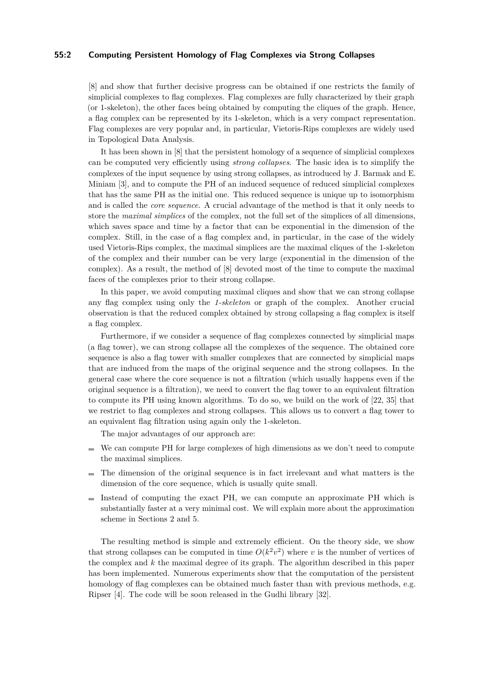## **55:2 Computing Persistent Homology of Flag Complexes via Strong Collapses**

[\[8\]](#page-12-0) and show that further decisive progress can be obtained if one restricts the family of simplicial complexes to flag complexes. Flag complexes are fully characterized by their graph (or 1-skeleton), the other faces being obtained by computing the cliques of the graph. Hence, a flag complex can be represented by its 1-skeleton, which is a very compact representation. Flag complexes are very popular and, in particular, Vietoris-Rips complexes are widely used in Topological Data Analysis.

It has been shown in [\[8\]](#page-12-0) that the persistent homology of a sequence of simplicial complexes can be computed very efficiently using *strong collapses*. The basic idea is to simplify the complexes of the input sequence by using strong collapses, as introduced by J. Barmak and E. Miniam [\[3\]](#page-12-3), and to compute the PH of an induced sequence of reduced simplicial complexes that has the same PH as the initial one. This reduced sequence is unique up to isomorphism and is called the *core sequence*. A crucial advantage of the method is that it only needs to store the *maximal simplices* of the complex, not the full set of the simplices of all dimensions, which saves space and time by a factor that can be exponential in the dimension of the complex. Still, in the case of a flag complex and, in particular, in the case of the widely used Vietoris-Rips complex, the maximal simplices are the maximal cliques of the 1-skeleton of the complex and their number can be very large (exponential in the dimension of the complex). As a result, the method of [\[8\]](#page-12-0) devoted most of the time to compute the maximal faces of the complexes prior to their strong collapse.

In this paper, we avoid computing maximal cliques and show that we can strong collapse any flag complex using only the *1-skeleton* or graph of the complex. Another crucial observation is that the reduced complex obtained by strong collapsing a flag complex is itself a flag complex.

Furthermore, if we consider a sequence of flag complexes connected by simplicial maps (a flag tower), we can strong collapse all the complexes of the sequence. The obtained core sequence is also a flag tower with smaller complexes that are connected by simplicial maps that are induced from the maps of the original sequence and the strong collapses. In the general case where the core sequence is not a filtration (which usually happens even if the original sequence is a filtration), we need to convert the flag tower to an equivalent filtration to compute its PH using known algorithms. To do so, we build on the work of [\[22,](#page-13-7) [35\]](#page-14-6) that we restrict to flag complexes and strong collapses. This allows us to convert a flag tower to an equivalent flag filtration using again only the 1-skeleton.

The major advantages of our approach are:

- $\blacksquare$  We can compute PH for large complexes of high dimensions as we don't need to compute the maximal simplices.
- The dimension of the original sequence is in fact irrelevant and what matters is the dimension of the core sequence, which is usually quite small.
- $\blacksquare$  Instead of computing the exact PH, we can compute an approximate PH which is substantially faster at a very minimal cost. We will explain more about the approximation scheme in Sections [2](#page-2-0) and [5.](#page-10-0)

The resulting method is simple and extremely efficient. On the theory side, we show that strong collapses can be computed in time  $O(k^2v^2)$  where *v* is the number of vertices of the complex and *k* the maximal degree of its graph. The algorithm described in this paper has been implemented. Numerous experiments show that the computation of the persistent homology of flag complexes can be obtained much faster than with previous methods, e.g. Ripser [\[4\]](#page-12-2). The code will be soon released in the Gudhi library [\[32\]](#page-13-1).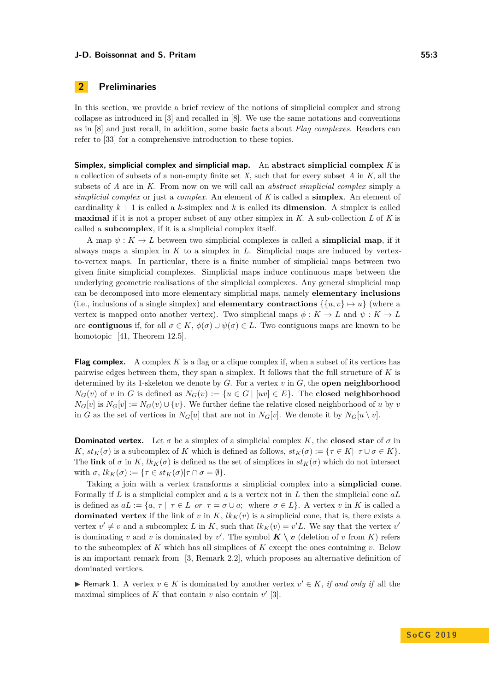## <span id="page-2-0"></span>**2 Preliminaries**

In this section, we provide a brief review of the notions of simplicial complex and strong collapse as introduced in [\[3\]](#page-12-3) and recalled in [\[8\]](#page-12-0). We use the same notations and conventions as in [\[8\]](#page-12-0) and just recall, in addition, some basic facts about *Flag complexes*. Readers can refer to [\[33\]](#page-13-8) for a comprehensive introduction to these topics.

**Simplex, simplicial complex and simplicial map.** An **abstract simplicial complex** *K* is a collection of subsets of a non-empty finite set *X,* such that for every subset *A* in *K*, all the subsets of *A* are in *K*. From now on we will call an *abstract simplicial complex* simply a *simplicial complex* or just a *complex*. An element of *K* is called a **simplex**. An element of cardinality  $k + 1$  is called a  $k$ -simplex and  $k$  is called its **dimension**. A simplex is called **maximal** if it is not a proper subset of any other simplex in *K*. A sub-collection *L* of *K* is called a **subcomplex**, if it is a simplicial complex itself.

A map  $\psi: K \to L$  between two simplicial complexes is called a **simplicial map**, if it always maps a simplex in *K* to a simplex in *L*. Simplicial maps are induced by vertexto-vertex maps. In particular, there is a finite number of simplicial maps between two given finite simplicial complexes. Simplicial maps induce continuous maps between the underlying geometric realisations of the simplicial complexes. Any general simplicial map can be decomposed into more elementary simplicial maps, namely **elementary inclusions** (i.e., inclusions of a single simplex) and **elementary contractions**  $\{ \{u, v\} \mapsto u \}$  (where a vertex is mapped onto another vertex). Two simplicial maps  $\phi: K \to L$  and  $\psi: K \to L$ are **contiguous** if, for all  $\sigma \in K$ ,  $\phi(\sigma) \cup \psi(\sigma) \in L$ . Two contiguous maps are known to be homotopic [\[41,](#page-14-7) Theorem 12.5].

**Flag complex.** A complex  $K$  is a flag or a clique complex if, when a subset of its vertices has pairwise edges between them, they span a simplex. It follows that the full structure of *K* is determined by its 1-skeleton we denote by *G*. For a vertex *v* in *G*, the **open neighborhood** *N<sub>G</sub>*(*v*) of *v* in *G* is defined as  $N_G(v) := \{u \in G \mid [uv] \in E\}$ . The **closed neighborhood**  $N_G[v]$  is  $N_G[v] := N_G(v) \cup \{v\}$ . We further define the relative closed neighborhood of *u* by *v* in *G* as the set of vertices in  $N_G[u]$  that are not in  $N_G[v]$ . We denote it by  $N_G[u \setminus v]$ .

**Dominated vertex.** Let  $\sigma$  be a simplex of a simplicial complex *K*, the **closed star** of  $\sigma$  in *K*,  $st_K(\sigma)$  is a subcomplex of *K* which is defined as follows,  $st_K(\sigma) := \{ \tau \in K | \tau \cup \sigma \in K \}.$ The **link** of  $\sigma$  in  $K$ ,  $lk_K(\sigma)$  is defined as the set of simplices in  $st_K(\sigma)$  which do not intersect with  $\sigma$ ,  $lk_K(\sigma) := {\tau \in st_K(\sigma) | \tau \cap \sigma = \emptyset}.$ 

Taking a join with a vertex transforms a simplicial complex into a **simplicial cone**. Formally if *L* is a simplicial complex and *a* is a vertex not in *L* then the simplicial cone *aL* is defined as  $aL := \{a, \tau \mid \tau \in L \text{ or } \tau = \sigma \cup a; \text{ where } \sigma \in L\}.$  A vertex v in K is called a **dominated vertex** if the link of *v* in  $K$ ,  $lk_K(v)$  is a simplicial cone, that is, there exists a vertex  $v' \neq v$  and a subcomplex *L* in *K*, such that  $lk_K(v) = v'L$ . We say that the vertex *v* is dominating *v* and *v* is dominated by *v*<sup>'</sup>. The symbol  $\mathbf{K} \setminus \mathbf{v}$  (deletion of *v* from  $K$ ) refers to the subcomplex of *K* which has all simplices of *K* except the ones containing *v*. Below is an important remark from [\[3,](#page-12-3) Remark 2.2], which proposes an alternative definition of dominated vertices.

<span id="page-2-1"></span>► Remark 1. A vertex  $v \in K$  is dominated by another vertex  $v' \in K$ , *if and only if* all the maximal simplices of  $K$  that contain  $v$  also contain  $v'$  [\[3\]](#page-12-3).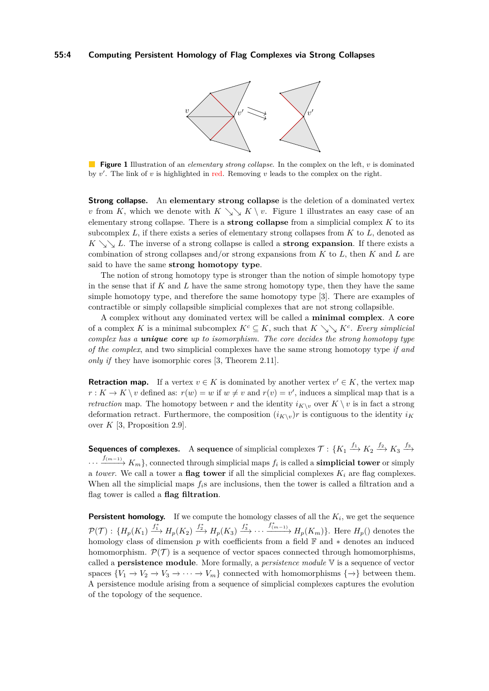

<span id="page-3-0"></span>**Figure 1** Illustration of an *elementary strong collapse*. In the complex on the left, *v* is dominated by  $v'$ . The link of  $v$  is highlighted in red. Removing  $v$  leads to the complex on the right.

**Strong collapse.** An **elementary strong collapse** is the deletion of a dominated vertex *v* from *K*, which we denote with  $K \searrow K \vee v$ . [Figure 1](#page-3-0) illustrates an easy case of an elementary strong collapse. There is a **strong collapse** from a simplicial complex *K* to its subcomplex *L*, if there exists a series of elementary strong collapses from *K* to *L*, denoted as  $K \searrow L$ . The inverse of a strong collapse is called a **strong expansion**. If there exists a combination of strong collapses and/or strong expansions from *K* to *L*, then *K* and *L* are said to have the same **strong homotopy type**.

The notion of strong homotopy type is stronger than the notion of simple homotopy type in the sense that if *K* and *L* have the same strong homotopy type, then they have the same simple homotopy type, and therefore the same homotopy type [\[3\]](#page-12-3). There are examples of contractible or simply collapsible simplicial complexes that are not strong collapsible.

A complex without any dominated vertex will be called a **minimal complex**. A **core** of a complex *K* is a minimal subcomplex  $K^c \subseteq K$ , such that  $K \searrow_K K^c$ . Every simplicial *complex has a unique core up to isomorphism. The core decides the strong homotopy type of the complex*, and two simplicial complexes have the same strong homotopy type *if and only if* they have isomorphic cores [\[3,](#page-12-3) Theorem 2.11].

<span id="page-3-1"></span>**Retraction map.** If a vertex  $v \in K$  is dominated by another vertex  $v' \in K$ , the vertex map  $r: K \to K \setminus v$  defined as:  $r(w) = w$  if  $w \neq v$  and  $r(v) = v'$ , induces a simplical map that is a *retraction* map. The homotopy between *r* and the identity  $i_{K\setminus v}$  over  $K \setminus v$  is in fact a strong deformation retract. Furthermore, the composition  $(i_{K\setminus v})r$  is contiguous to the identity  $i_K$ over *K* [\[3,](#page-12-3) Proposition 2.9].

**Sequences of complexes.** A sequence of simplicial complexes  $\mathcal{T}: \{K_1 \xrightarrow{f_1} K_2 \xrightarrow{f_2} K_3 \xrightarrow{f_3} K_4\}$ · · · *f*(*m*−1) −−−−→ *Km*}, connected through simplicial maps *f<sup>i</sup>* is called a **simplicial tower** or simply a *tower*. We call a tower a **flag tower** if all the simplicial complexes  $K_i$  are flag complexes. When all the simplicial maps *fi*s are inclusions, then the tower is called a filtration and a flag tower is called a **flag filtration**.

**Persistent homology.** If we compute the homology classes of all the  $K_i$ , we get the sequence  $\mathcal{P}(\mathcal{T}) : \{H_p(K_1) \xrightarrow{f_1^*} H_p(K_2) \xrightarrow{f_2^*} H_p(K_3) \xrightarrow{f_3^*} \cdots \xrightarrow{f_{(m-1)}^*} H_p(K_m)\}.$  Here  $H_p()$  denotes the homology class of dimension *p* with coefficients from a field F and ∗ denotes an induced homomorphism.  $\mathcal{P}(\mathcal{T})$  is a sequence of vector spaces connected through homomorphisms, called a **persistence module**. More formally, a *persistence module* V is a sequence of vector spaces  ${V_1 \rightarrow V_2 \rightarrow V_3 \rightarrow \cdots \rightarrow V_m}$  connected with homomorphisms  ${\rightarrow}$  between them. A persistence module arising from a sequence of simplicial complexes captures the evolution of the topology of the sequence.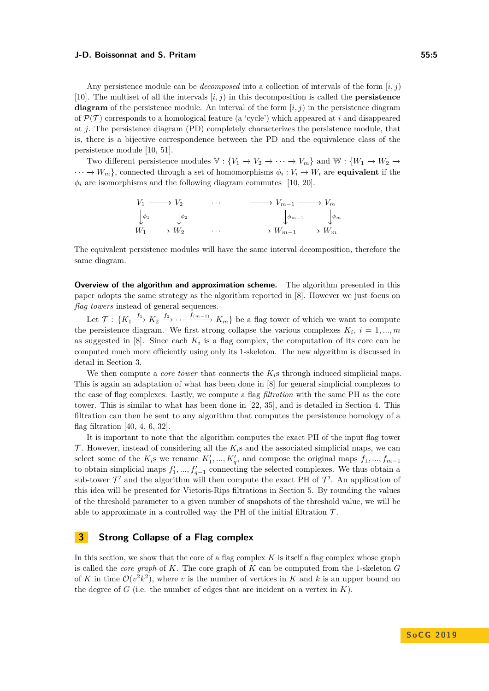Any persistence module can be *decomposed* into a collection of intervals of the form [*i, j*) [\[10\]](#page-13-9). The multiset of all the intervals [*i, j*) in this decomposition is called the **persistence diagram** of the persistence module. An interval of the form  $[i, j]$  in the persistence diagram of  $\mathcal{P}(\mathcal{T})$  corresponds to a homological feature (a 'cycle') which appeared at *i* and disappeared at *j*. The persistence diagram (PD) completely characterizes the persistence module, that is, there is a bijective correspondence between the PD and the equivalence class of the persistence module [\[10,](#page-13-9) [51\]](#page-14-8).

Two different persistence modules  $\mathbb{V}: \{V_1 \to V_2 \to \cdots \to V_m\}$  and  $\mathbb{W}: \{W_1 \to W_2 \to \cdots \to W_m\}$  $\cdots \rightarrow W_m$ , connected through a set of homomorphisms  $\phi_i : V_i \rightarrow W_i$  are **equivalent** if the  $\phi_i$  are isomorphisms and the following diagram commutes [\[10,](#page-13-9) [20\]](#page-13-10).

$$
V_1 \longrightarrow V_2 \qquad \cdots \qquad \longrightarrow V_{m-1} \longrightarrow V_m
$$
  
\n
$$
\downarrow_{\phi_1} \qquad \qquad \downarrow_{\phi_2} \qquad \qquad \downarrow_{\phi_{m-1}} \qquad \qquad \downarrow_{\phi_m}
$$
  
\n
$$
W_1 \longrightarrow W_2 \qquad \qquad \cdots \qquad \longrightarrow W_{m-1} \longrightarrow W_m
$$

The equivalent persistence modules will have the same interval decomposition, therefore the same diagram.

**Overview of the algorithm and approximation scheme.** The algorithm presented in this paper adopts the same strategy as the algorithm reported in [\[8\]](#page-12-0). However we just focus on *flag towers* instead of general sequences.

Let  $\mathcal{T}: \{K_1 \stackrel{f_1}{\longrightarrow} K_2 \stackrel{f_2}{\longrightarrow} \cdots \stackrel{f_{(m-1)}}{\longrightarrow} K_m\}$  be a flag tower of which we want to compute the persistence diagram. We first strong collapse the various complexes  $K_i$ ,  $i = 1, ..., m$ as suggested in  $[8]$ . Since each  $K_i$  is a flag complex, the computation of its core can be computed much more efficiently using only its 1-skeleton. The new algorithm is discussed in detail in Section [3.](#page-4-0)

We then compute a *core tower* that connects the *Ki*s through induced simplicial maps. This is again an adaptation of what has been done in [\[8\]](#page-12-0) for general simplicial complexes to the case of flag complexes. Lastly, we compute a flag *filtration* with the same PH as the core tower. This is similar to what has been done in [\[22,](#page-13-7) [35\]](#page-14-6), and is detailed in Section [4.](#page-7-0) This filtration can then be sent to any algorithm that computes the persistence homology of a flag filtration [\[40,](#page-14-1) [4,](#page-12-2) [6,](#page-12-1) [32\]](#page-13-1).

It is important to note that the algorithm computes the exact PH of the input flag tower  $\mathcal{T}$ . However, instead of considering all the  $K_i$ s and the associated simplicial maps, we can select some of the  $K_i$ s we rename  $K'_1, ..., K'_q$ , and compose the original maps  $f_1, ..., f_{m-1}$ to obtain simplicial maps  $f'_1, ..., f'_{q-1}$  connecting the selected complexes. We thus obtain a sub-tower  $\mathcal{T}'$  and the algorithm will then compute the exact PH of  $\mathcal{T}'$ . An application of this idea will be presented for Vietoris-Rips filtrations in Section [5.](#page-10-0) By rounding the values of the threshold parameter to a given number of snapshots of the threshold value, we will be able to approximate in a controlled way the PH of the initial filtration  $\mathcal{T}$ .

## <span id="page-4-0"></span>**3 Strong Collapse of a Flag complex**

In this section, we show that the core of a flag complex *K* is itself a flag complex whose graph is called the *core graph* of *K*. The core graph of *K* can be computed from the 1-skeleton *G* of *K* in time  $\mathcal{O}(v^2 k^2)$ , where *v* is the number of vertices in *K* and *k* is an upper bound on the degree of  $G$  (i.e. the number of edges that are incident on a vertex in  $K$ ).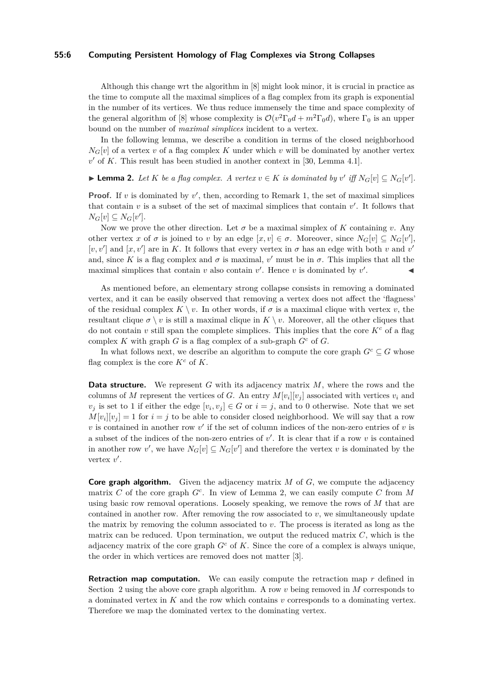#### **55:6 Computing Persistent Homology of Flag Complexes via Strong Collapses**

Although this change wrt the algorithm in [\[8\]](#page-12-0) might look minor, it is crucial in practice as the time to compute all the maximal simplices of a flag complex from its graph is exponential in the number of its vertices. We thus reduce immensely the time and space complexity of the general algorithm of [\[8\]](#page-12-0) whose complexity is  $\mathcal{O}(v^2 \Gamma_0 d + m^2 \Gamma_0 d)$ , where  $\Gamma_0$  is an upper bound on the number of *maximal simplices* incident to a vertex.

In the following lemma, we describe a condition in terms of the closed neighborhood  $N_G[v]$  of a vertex *v* of a flag complex *K* under which *v* will be dominated by another vertex  $v'$  of  $K$ . This result has been studied in another context in [\[30,](#page-13-11) Lemma 4.1].

<span id="page-5-0"></span>▶ **Lemma 2.** Let *K* be a flag complex. A vertex  $v \in K$  is dominated by  $v'$  iff  $N_G[v] \subseteq N_G[v']$ .

**Proof.** If  $v$  is dominated by  $v'$ , then, according to Remark [1,](#page-2-1) the set of maximal simplices that contain  $v$  is a subset of the set of maximal simplices that contain  $v'$ . It follows that  $N_G[v] \subseteq N_G[v']$ .

Now we prove the other direction. Let  $\sigma$  be a maximal simplex of K containing *v*. Any other vertex *x* of  $\sigma$  is joined to *v* by an edge  $[x, v] \in \sigma$ . Moreover, since  $N_G[v] \subseteq N_G[v']$ , [ $v, v'$ ] and [ $x, v'$ ] are in K. It follows that every vertex in  $\sigma$  has an edge with both  $v$  and  $v'$ and, since K is a flag complex and  $\sigma$  is maximal,  $v'$  must be in  $\sigma$ . This implies that all the maximal simplices that contain  $v$  also contain  $v'$ . Hence  $v$  is dominated by  $v'$  $\mathcal{L}$   $\mathcal{L}$   $\mathcal{L}$ 

As mentioned before, an elementary strong collapse consists in removing a dominated vertex, and it can be easily observed that removing a vertex does not affect the 'flagness' of the residual complex  $K \setminus v$ . In other words, if  $\sigma$  is a maximal clique with vertex  $v$ , the resultant clique  $\sigma \setminus v$  is still a maximal clique in  $K \setminus v$ . Moreover, all the other cliques that do not contain *v* still span the complete simplices. This implies that the core  $K^c$  of a flag complex *K* with graph *G* is a flag complex of a sub-graph  $G^c$  of *G*.

In what follows next, we describe an algorithm to compute the core graph  $G^c \subseteq G$  whose flag complex is the core  $K^c$  of  $K$ .

**Data structure.** We represent *G* with its adjacency matrix *M*, where the rows and the columns of *M* represent the vertices of *G*. An entry  $M[v_i][v_j]$  associated with vertices  $v_i$  and  $v_j$  is set to 1 if either the edge  $[v_i, v_j] \in G$  or  $i = j$ , and to 0 otherwise. Note that we set  $M[v_i][v_j] = 1$  for  $i = j$  to be able to consider closed neighborhood. We will say that a row  $v$  is contained in another row  $v'$  if the set of column indices of the non-zero entries of  $v$  is a subset of the indices of the non-zero entries of  $v'$ . It is clear that if a row  $v$  is contained in another row v', we have  $N_G[v] \subseteq N_G[v']$  and therefore the vertex v is dominated by the  $\text{vertex } v'.$ 

**Core graph algorithm.** Given the adjacency matrix *M* of *G*, we compute the adjacency matrix *C* of the core graph  $G^c$ . In view of Lemma [2,](#page-5-0) we can easily compute *C* from *M* using basic row removal operations. Loosely speaking, we remove the rows of *M* that are contained in another row. After removing the row associated to  $v$ , we simultaneously update the matrix by removing the column associated to *v*. The process is iterated as long as the matrix can be reduced. Upon termination, we output the reduced matrix *C*, which is the adiacency matrix of the core graph  $G<sup>c</sup>$  of K. Since the core of a complex is always unique, the order in which vertices are removed does not matter [\[3\]](#page-12-3).

**Retraction map computation.** We can easily compute the retraction map *r* defined in Section [2](#page-3-1) using the above core graph algorithm. A row *v* being removed in *M* corresponds to a dominated vertex in *K* and the row which contains *v* corresponds to a dominating vertex. Therefore we map the dominated vertex to the dominating vertex.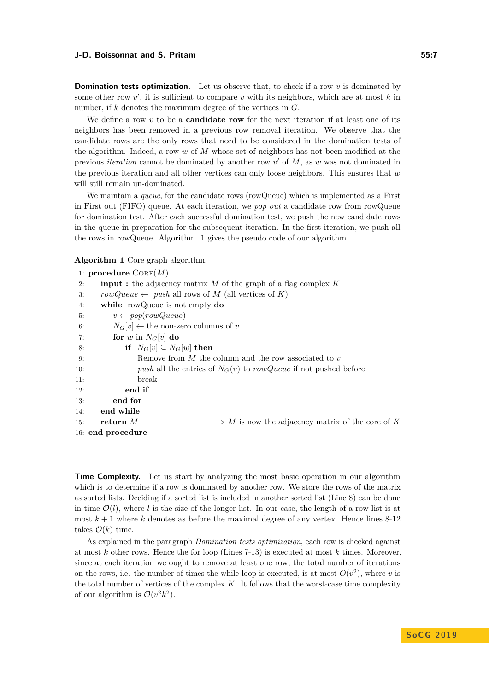**Domination tests optimization.** Let us observe that, to check if a row *v* is dominated by some other row  $v'$ , it is sufficient to compare  $v$  with its neighbors, which are at most  $k$  in number, if *k* denotes the maximum degree of the vertices in *G*.

We define a row *v* to be a **candidate row** for the next iteration if at least one of its neighbors has been removed in a previous row removal iteration. We observe that the candidate rows are the only rows that need to be considered in the domination tests of the algorithm. Indeed, a row *w* of *M* whose set of neighbors has not been modified at the previous *iteration* cannot be dominated by another row  $v'$  of  $M$ , as  $w$  was not dominated in the previous iteration and all other vertices can only loose neighbors. This ensures that *w* will still remain un-dominated.

We maintain a *queue*, for the candidate rows (rowQueue) which is implemented as a First in First out (FIFO) queue. At each iteration, we *pop out* a candidate row from rowQueue for domination test. After each successful domination test, we push the new candidate rows in the queue in preparation for the subsequent iteration. In the first iteration, we push all the rows in rowQueue. Algorithm [1](#page-6-0) gives the pseudo code of our algorithm.

<span id="page-6-0"></span>

| <b>Algorithm 1</b> Core graph algorithm.                                               |  |
|----------------------------------------------------------------------------------------|--|
| 1: procedure $\text{Cone}(M)$                                                          |  |
| <b>input</b> : the adjacency matrix M of the graph of a flag complex $K$<br>2:         |  |
| rowQueue $\leftarrow$ push all rows of M (all vertices of K)<br>3:                     |  |
| while rowQueue is not empty do<br>4:                                                   |  |
| $v \leftarrow pop(rowQueue)$<br>5:                                                     |  |
| $N_G[v] \leftarrow$ the non-zero columns of v<br>6:                                    |  |
| for w in $N_G[v]$ do<br>7:                                                             |  |
| if $N_G[v] \subseteq N_G[w]$ then<br>8:                                                |  |
| Remove from $M$ the column and the row associated to $v$<br>9:                         |  |
| <i>push</i> all the entries of $N_G(v)$ to rowQueue if not pushed before<br>10:        |  |
| break<br>11:                                                                           |  |
| end if<br>12:                                                                          |  |
| end for<br>13:                                                                         |  |
| end while<br>14:                                                                       |  |
| $\triangleright M$ is now the adjacency matrix of the core of $K$<br>return $M$<br>15: |  |
| 16: end procedure                                                                      |  |

**Time Complexity.** Let us start by analyzing the most basic operation in our algorithm which is to determine if a row is dominated by another row. We store the rows of the matrix as sorted lists. Deciding if a sorted list is included in another sorted list (Line 8) can be done in time  $\mathcal{O}(l)$ , where l is the size of the longer list. In our case, the length of a row list is at most  $k + 1$  where k denotes as before the maximal degree of any vertex. Hence lines  $8-12$ takes  $\mathcal{O}(k)$  time.

As explained in the paragraph *Domination tests optimization*, each row is checked against at most *k* other rows. Hence the for loop (Lines 7-13) is executed at most *k* times. Moreover, since at each iteration we ought to remove at least one row, the total number of iterations on the rows, i.e. the number of times the while loop is executed, is at most  $O(v^2)$ , where *v* is the total number of vertices of the complex *K*. It follows that the worst-case time complexity of our algorithm is  $\mathcal{O}(v^2k^2)$ .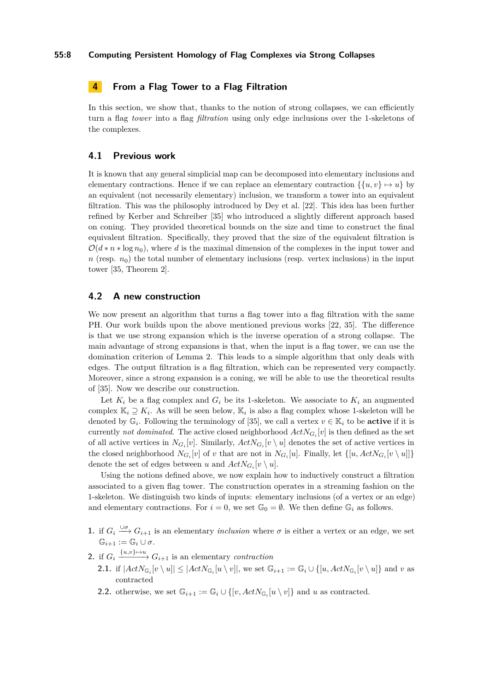## <span id="page-7-0"></span>**4 From a Flag Tower to a Flag Filtration**

In this section, we show that, thanks to the notion of strong collapses, we can efficiently turn a flag *tower* into a flag *filtration* using only edge inclusions over the 1-skeletons of the complexes.

## **4.1 Previous work**

It is known that any general simplicial map can be decomposed into elementary inclusions and elementary contractions. Hence if we can replace an elementary contraction  $\{\{u, v\} \mapsto u\}$  by an equivalent (not necessarily elementary) inclusion, we transform a tower into an equivalent filtration. This was the philosophy introduced by Dey et al. [\[22\]](#page-13-7). This idea has been further refined by Kerber and Schreiber [\[35\]](#page-14-6) who introduced a slightly different approach based on coning. They provided theoretical bounds on the size and time to construct the final equivalent filtration. Specifically, they proved that the size of the equivalent filtration is  $\mathcal{O}(d * n * \log n_0)$ , where *d* is the maximal dimension of the complexes in the input tower and  $n$  (resp.  $n_0$ ) the total number of elementary inclusions (resp. vertex inclusions) in the input tower [\[35,](#page-14-6) Theorem 2].

## **4.2 A new construction**

We now present an algorithm that turns a flag tower into a flag filtration with the same PH. Our work builds upon the above mentioned previous works [\[22,](#page-13-7) [35\]](#page-14-6). The difference is that we use strong expansion which is the inverse operation of a strong collapse. The main advantage of strong expansions is that, when the input is a flag tower, we can use the domination criterion of Lemma [2.](#page-5-0) This leads to a simple algorithm that only deals with edges. The output filtration is a flag filtration, which can be represented very compactly. Moreover, since a strong expansion is a coning, we will be able to use the theoretical results of [\[35\]](#page-14-6). Now we describe our construction.

Let  $K_i$  be a flag complex and  $G_i$  be its 1-skeleton. We associate to  $K_i$  an augmented complex  $\mathbb{K}_i \supseteq K_i$ . As will be seen below,  $\mathbb{K}_i$  is also a flag complex whose 1-skeleton will be denoted by  $\mathbb{G}_i$ . Following the terminology of [\[35\]](#page-14-6), we call a vertex  $v \in \mathbb{K}_i$  to be **active** if it is currently *not dominated*. The active closed neighborhood  $ActN_{G_i}[v]$  is then defined as the set of all active vertices in  $N_{G_i}[v]$ . Similarly,  $ActN_{G_i}[v \setminus u]$  denotes the set of active vertices in the closed neighborhood  $N_{G_i}[v]$  of  $v$  that are not in  $N_{G_i}[u]$ . Finally, let  $\{[u, ActN_{G_i}[v \setminus u]]\}$ denote the set of edges between *u* and  $ActN_{G_i}[v \setminus u]$ .

Using the notions defined above, we now explain how to inductively construct a filtration associated to a given flag tower. The construction operates in a streaming fashion on the 1-skeleton. We distinguish two kinds of inputs: elementary inclusions (of a vertex or an edge) and elementary contractions. For  $i = 0$ , we set  $\mathbb{G}_0 = \emptyset$ . We then define  $\mathbb{G}_i$  as follows.

- **1.** if  $G_i \stackrel{\cup \sigma}{\longrightarrow} G_{i+1}$  is an elementary *inclusion* where  $\sigma$  is either a vertex or an edge, we set  $\mathbb{G}_{i+1} := \mathbb{G}_i \cup \sigma.$
- 2. if  $G_i \xrightarrow{\{u,v\}\mapsto u} G_{i+1}$  is an elementary *contraction* 
	- **2.1.** if  $|ActN_{\mathbb{G}_i}[v \setminus u]| \leq |ActN_{\mathbb{G}_i}[u \setminus v]|$ , we set  $\mathbb{G}_{i+1} := \mathbb{G}_i \cup \{[u,ActN_{\mathbb{G}_i}[v \setminus u]\}$  and *v* as contracted
	- **2.2.** otherwise, we set  $\mathbb{G}_{i+1} := \mathbb{G}_i \cup \{[v, ActN_{\mathbb{G}_i}[u \setminus v]]\}$  and *u* as contracted.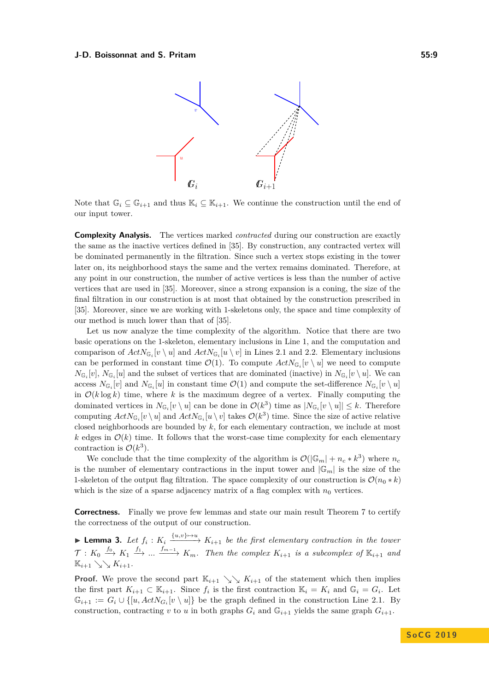

Note that  $\mathbb{G}_i \subseteq \mathbb{G}_{i+1}$  and thus  $\mathbb{K}_i \subseteq \mathbb{K}_{i+1}$ . We continue the construction until the end of our input tower.

**Complexity Analysis.** The vertices marked *contracted* during our construction are exactly the same as the inactive vertices defined in [\[35\]](#page-14-6). By construction, any contracted vertex will be dominated permanently in the filtration. Since such a vertex stops existing in the tower later on, its neighborhood stays the same and the vertex remains dominated. Therefore, at any point in our construction, the number of active vertices is less than the number of active vertices that are used in [\[35\]](#page-14-6). Moreover, since a strong expansion is a coning, the size of the final filtration in our construction is at most that obtained by the construction prescribed in [\[35\]](#page-14-6). Moreover, since we are working with 1-skeletons only, the space and time complexity of our method is much lower than that of [\[35\]](#page-14-6).

Let us now analyze the time complexity of the algorithm. Notice that there are two basic operations on the 1-skeleton, elementary inclusions in Line 1, and the computation and comparison of  $ActN_{\mathbb{G}_i}[v \setminus u]$  and  $ActN_{\mathbb{G}_i}[u \setminus v]$  in Lines 2.1 and 2.2. Elementary inclusions can be performed in constant time  $\mathcal{O}(1)$ . To compute  $ActN_{\mathbb{G}_i}[v \setminus u]$  we need to compute  $N_{\mathbb{G}_i}[v]$ ,  $N_{\mathbb{G}_i}[u]$  and the subset of vertices that are dominated (inactive) in  $N_{\mathbb{G}_i}[v \setminus u]$ . We can access  $N_{\mathbb{G}_i}[v]$  and  $N_{\mathbb{G}_i}[u]$  in constant time  $\mathcal{O}(1)$  and compute the set-difference  $N_{\mathbb{G}_i}[v \setminus u]$ in  $\mathcal{O}(k \log k)$  time, where k is the maximum degree of a vertex. Finally computing the dominated vertices in  $N_{\mathbb{G}_i}[v \setminus u]$  can be done in  $\mathcal{O}(k^3)$  time as  $|N_{\mathbb{G}_i}[v \setminus u]| \leq k$ . Therefore computing  $ActN_{\mathbb{G}_i}[v \setminus u]$  and  $ActN_{\mathbb{G}_i}[u \setminus v]$  takes  $\mathcal{O}(k^3)$  time. Since the size of active relative closed neighborhoods are bounded by *k*, for each elementary contraction, we include at most  $k$  edges in  $\mathcal{O}(k)$  time. It follows that the worst-case time complexity for each elementary contraction is  $\mathcal{O}(k^3)$ .

We conclude that the time complexity of the algorithm is  $\mathcal{O}(|\mathbb{G}_m| + n_c * k^3)$  where  $n_c$ is the number of elementary contractions in the input tower and  $|\mathbb{G}_m|$  is the size of the 1-skeleton of the output flag filtration. The space complexity of our construction is  $\mathcal{O}(n_0 * k)$ which is the size of a sparse adjacency matrix of a flag complex with  $n_0$  vertices.

**Correctness.** Finally we prove few lemmas and state our main result Theorem [7](#page-10-1) to certify the correctness of the output of our construction.

<span id="page-8-0"></span>► **Lemma 3.** Let  $f_i: K_i \xrightarrow{\{u,v\}\mapsto u} K_{i+1}$  be the first elementary contraction in the tower  $\mathcal{T}: K_0 \stackrel{f_0}{\longrightarrow} K_1 \stackrel{f_1}{\longrightarrow} \ldots \stackrel{f_{m-1}}{\longrightarrow} K_m$ . Then the complex  $K_{i+1}$  is a subcomplex of  $\mathbb{K}_{i+1}$  and  $\mathbb{K}_{i+1} \searrow \searrow K_{i+1}.$ 

**Proof.** We prove the second part  $\mathbb{K}_{i+1} \searrow \searrow K_{i+1}$  of the statement which then implies the first part  $K_{i+1} \subset \mathbb{K}_{i+1}$ . Since  $f_i$  is the first contraction  $\mathbb{K}_i = K_i$  and  $\mathbb{G}_i = G_i$ . Let  $\mathbb{G}_{i+1} := G_i \cup \{ [u, \text{ActN}_{G_i}[v \setminus u]] \}$  be the graph defined in the construction Line 2.1. By construction, contracting *v* to *u* in both graphs  $G_i$  and  $\mathbb{G}_{i+1}$  yields the same graph  $G_{i+1}$ .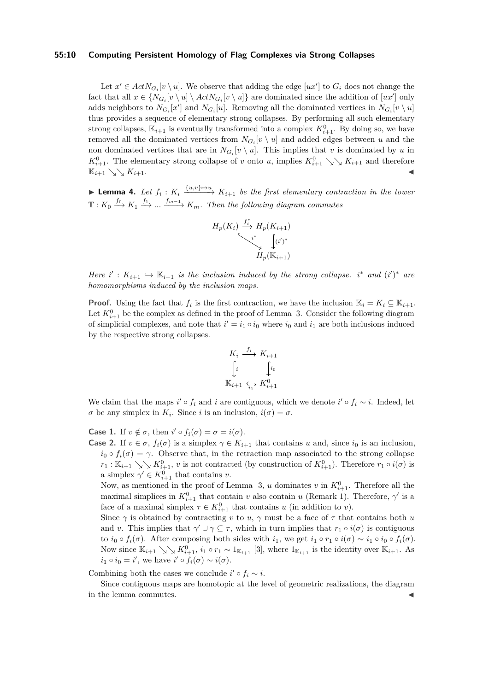## **55:10 Computing Persistent Homology of Flag Complexes via Strong Collapses**

Let  $x' \in ActN_{G_i}[v \setminus u]$ . We observe that adding the edge  $[ux']$  to  $G_i$  does not change the fact that all  $x \in \{N_{G_i}[v \setminus u] \setminus ActN_{G_i}[v \setminus u]\}$  are dominated since the addition of  $[ux']$  only adds neighbors to  $N_{G_i}[x']$  and  $N_{G_i}[u]$ . Removing all the dominated vertices in  $N_{G_i}[v \setminus u]$ thus provides a sequence of elementary strong collapses. By performing all such elementary strong collapses,  $\mathbb{K}_{i+1}$  is eventually transformed into a complex  $K^0_{i+1}$ . By doing so, we have removed all the dominated vertices from  $N_{G_i}[v \setminus u]$  and added edges between *u* and the non dominated vertices that are in  $N_{G_i}[v \setminus u]$ . This implies that *v* is dominated by *u* in  $K_{i+1}^0$ . The elementary strong collapse of *v* onto *u*, implies  $K_{i+1}^0 \searrow \searrow K_{i+1}$  and therefore  $\mathbb{K}_{i+1} \searrow \searrow K_{i+1}.$ 

<span id="page-9-0"></span>**► Lemma 4.** Let  $f_i: K_i \xrightarrow{\{u,v\}\mapsto u} K_{i+1}$  be the first elementary contraction in the tower  $\mathbb{T}: K_0 \xrightarrow{f_0} K_1 \xrightarrow{f_1} \ldots \xrightarrow{f_{m-1}} K_m$ . Then the following diagram commutes



*Here*  $i': K_{i+1} \hookrightarrow \mathbb{K}_{i+1}$  *is the inclusion induced by the strong collapse. i*<sup>\*</sup> *and*  $(i')^*$  *are homomorphisms induced by the inclusion maps.*

**Proof.** Using the fact that  $f_i$  is the first contraction, we have the inclusion  $\mathbb{K}_i = K_i \subseteq \mathbb{K}_{i+1}$ . Let  $K^0_{i+1}$  be the complex as defined in the proof of Lemma [3.](#page-8-0) Consider the following diagram of simplicial complexes, and note that  $i' = i_1 \circ i_0$  where  $i_0$  and  $i_1$  are both inclusions induced by the respective strong collapses.

$$
K_i \xrightarrow{f_i} K_{i+1}
$$

$$
\downarrow \qquad \qquad i_0
$$

$$
\mathbb{K}_{i+1} \xleftarrow{i_1} K_{i+1}^0
$$

We claim that the maps  $i' \circ f_i$  and  $i$  are contiguous, which we denote  $i' \circ f_i \sim i$ . Indeed, let  $\sigma$  be any simplex in  $K_i$ . Since *i* is an inclusion,  $i(\sigma) = \sigma$ .

**Case 1.** If  $v \notin \sigma$ , then  $i' \circ f_i(\sigma) = \sigma = i(\sigma)$ .

**Case 2.** If  $v \in \sigma$ ,  $f_i(\sigma)$  is a simplex  $\gamma \in K_{i+1}$  that contains *u* and, since  $i_0$  is an inclusion,  $i_0 \circ f_i(\sigma) = \gamma$ . Observe that, in the retraction map associated to the strong collapse  $r_1 : \mathbb{K}_{i+1} \searrow \searrow K_{i+1}^0$ , *v* is not contracted (by construction of  $K_{i+1}^0$ ). Therefore  $r_1 \circ i(\sigma)$  is a simplex  $\gamma' \in K_{i+1}^0$  that contains *v*.

Now, as mentioned in the proof of Lemma [3,](#page-8-0) *u* dominates *v* in  $K_{i+1}^0$ . Therefore all the maximal simplices in  $K^0_{i+1}$  that contain *v* also contain *u* (Remark [1\)](#page-2-1). Therefore,  $\gamma'$  is a face of a maximal simplex  $\tau \in K_{i+1}^0$  that contains *u* (in addition to *v*).

Since  $\gamma$  is obtained by contracting *v* to *u*,  $\gamma$  must be a face of  $\tau$  that contains both *u* and *v*. This implies that  $\gamma' \cup \gamma \subseteq \tau$ , which in turn implies that  $r_1 \circ i(\sigma)$  is contiguous to *i*<sub>0</sub> ◦ *f*<sub>*i*</sub>( $\sigma$ ). After composing both sides with *i*<sub>1</sub>, we get *i*<sub>1</sub> ◦ *r*<sub>1</sub> ◦ *i*<sub>(</sub> $\sigma$ ) ∼ *i*<sub>1</sub> ◦ *i*<sub>0</sub> ◦ *f<sub><i>i*</sub>( $\sigma$ ). Now since  $\mathbb{K}_{i+1} \searrow \searrow K_{i+1}^0$ ,  $i_1 \circ r_1 \sim 1_{\mathbb{K}_{i+1}}$  [\[3\]](#page-12-3), where  $1_{\mathbb{K}_{i+1}}$  is the identity over  $\mathbb{K}_{i+1}$ . As  $i_1 \circ i_0 = i'$ , we have  $i' \circ f_i(\sigma) \sim i(\sigma)$ .

Combining both the cases we conclude  $i' \circ f_i \sim i$ .

Since contiguous maps are homotopic at the level of geometric realizations, the diagram in the lemma commutes.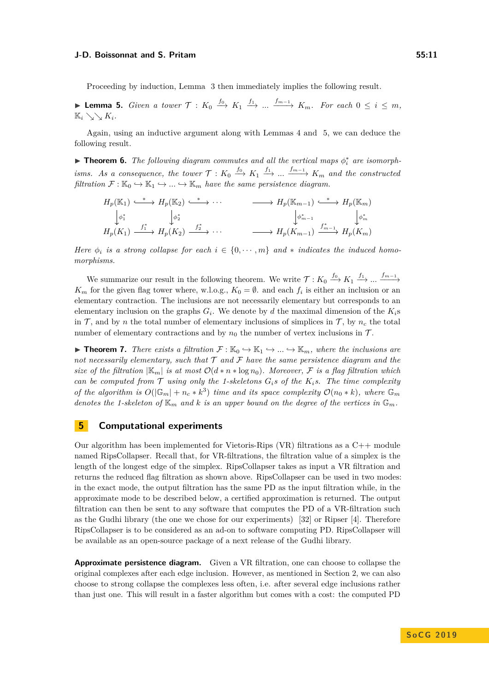Proceeding by induction, Lemma [3](#page-8-0) then immediately implies the following result.

<span id="page-10-2"></span>▶ **Lemma 5.** *Given a tower*  $\mathcal{T}$  :  $K_0$   $\xrightarrow{f_0} K_1$   $\xrightarrow{f_1}$  ...  $\xrightarrow{f_{m-1}} K_m$ . For each  $0 \le i \le m$ ,  $\mathbb{K}_i \searrow \searrow K_i$ .

Again, using an inductive argument along with Lemmas [4](#page-9-0) and [5,](#page-10-2) we can deduce the following result.

► **Theorem 6.** *The following diagram commutes and all the vertical maps*  $\phi_i^*$  are *isomorph isms.* As a consequence, the tower  $\mathcal{T}: K_0 \xrightarrow{f_0} K_1 \xrightarrow{f_1} \ldots \xrightarrow{f_{m-1}} K_m$  and the constructed *filtration*  $\mathcal{F} : \mathbb{K}_0 \hookrightarrow \mathbb{K}_1 \hookrightarrow \ldots \hookrightarrow \mathbb{K}_m$  *have the same persistence diagram.* 

$$
H_p(\mathbb{K}_1) \xrightarrow{\ast} H_p(\mathbb{K}_2) \xrightarrow{\ast} \cdots \longrightarrow H_p(\mathbb{K}_{m-1}) \xrightarrow{\ast} H_p(\mathbb{K}_m)
$$
  

$$
\downarrow \phi_1^* \qquad \qquad \downarrow \phi_2^* \qquad \qquad \downarrow \phi_{m-1}^* \qquad \qquad \downarrow \phi_m^* \qquad \qquad \downarrow \phi_m^*.
$$
  

$$
H_p(K_1) \xrightarrow{f_1^*} H_p(K_2) \xrightarrow{f_2^*} \cdots \qquad \longrightarrow H_p(K_{m-1}) \xrightarrow{f_{m-1}^*} H_p(K_m)
$$

*Here*  $\phi_i$  *is a strong collapse for each*  $i \in \{0, \dots, m\}$  *and* \* *indicates the induced homomorphisms.*

We summarize our result in the following theorem. We write  $\mathcal{T}: K_0 \xrightarrow{f_0} K_1 \xrightarrow{f_{n-1}} ... \xrightarrow{f_{m-1}}$  $K_m$  for the given flag tower where, w.l.o.g.,  $K_0 = \emptyset$ . and each  $f_i$  is either an inclusion or an elementary contraction. The inclusions are not necessarily elementary but corresponds to an elementary inclusion on the graphs *G<sup>i</sup>* . We denote by *d* the maximal dimension of the *Ki*s in  $\mathcal{T}$ , and by *n* the total number of elementary inclusions of simplices in  $\mathcal{T}$ , by  $n_c$  the total number of elementary contractions and by  $n_0$  the number of vertex inclusions in  $\mathcal{T}$ .

<span id="page-10-1"></span>**► Theorem 7.** *There exists a filtration*  $\mathcal{F} : \mathbb{K}_0 \hookrightarrow \mathbb{K}_1 \hookrightarrow \dots \hookrightarrow \mathbb{K}_m$ *, where the inclusions are not necessarily elementary, such that* T *and* F *have the same persistence diagram and the size of the filtration*  $|\mathbb{K}_m|$  *is at most*  $O(d * n * log n_0)$ *. Moreover,* F *is a flag filtration which can be computed from*  $\mathcal T$  *using only the 1-skeletons*  $G_i$ *s of the*  $K_i$ *s. The time complexity of the algorithm is*  $O(|\mathbb{G}_m| + n_c * k^3)$  *time and its space complexity*  $O(n_0 * k)$ *, where*  $\mathbb{G}_m$ *denotes the 1-skeleton of*  $\mathbb{K}_m$  *and*  $k$  *is an upper bound on the degree of the vertices in*  $\mathbb{G}_m$ *.* 

## <span id="page-10-0"></span>**5 Computational experiments**

Our algorithm has been implemented for Vietoris-Rips (VR) filtrations as a C++ module named RipsCollapser. Recall that, for VR-filtrations, the filtration value of a simplex is the length of the longest edge of the simplex. RipsCollapser takes as input a VR filtration and returns the reduced flag filtration as shown above. RipsCollapser can be used in two modes: in the exact mode, the output filtration has the same PD as the input filtration while, in the approximate mode to be described below, a certified approximation is returned. The output filtration can then be sent to any software that computes the PD of a VR-filtration such as the Gudhi library (the one we chose for our experiments) [\[32\]](#page-13-1) or Ripser [\[4\]](#page-12-2). Therefore RipsCollapser is to be considered as an ad-on to software computing PD. RipsCollapser will be available as an open-source package of a next release of the Gudhi library.

**Approximate persistence diagram.** Given a VR filtration, one can choose to collapse the original complexes after each edge inclusion. However, as mentioned in Section [2,](#page-2-0) we can also choose to strong collapse the complexes less often, i.e. after several edge inclusions rather than just one. This will result in a faster algorithm but comes with a cost: the computed PD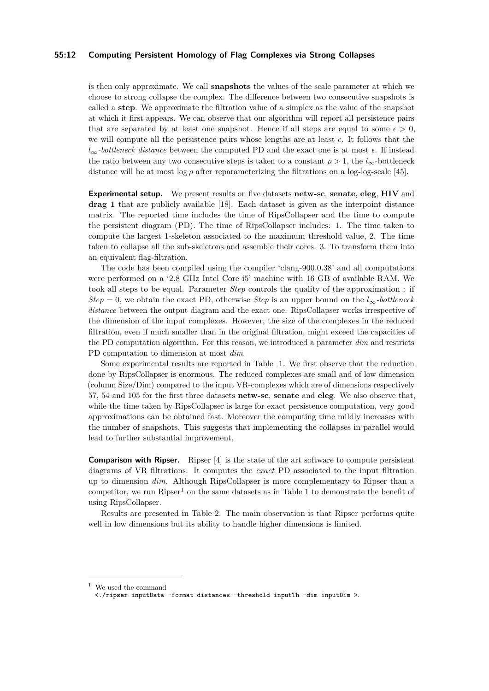## **55:12 Computing Persistent Homology of Flag Complexes via Strong Collapses**

is then only approximate. We call **snapshots** the values of the scale parameter at which we choose to strong collapse the complex. The difference between two consecutive snapshots is called a **step**. We approximate the filtration value of a simplex as the value of the snapshot at which it first appears. We can observe that our algorithm will report all persistence pairs that are separated by at least one snapshot. Hence if all steps are equal to some  $\epsilon > 0$ , we will compute all the persistence pairs whose lengths are at least  $\epsilon$ . It follows that the *l*<sub>∞</sub>*-bottleneck distance* between the computed PD and the exact one is at most  $\epsilon$ . If instead the ratio between any two consecutive steps is taken to a constant  $\rho > 1$ , the  $l_{\infty}$ -bottleneck distance will be at most  $\log \rho$  after reparameterizing the filtrations on a log-log-scale [\[45\]](#page-14-3).

**Experimental setup.** We present results on five datasets **netw-sc**, **senate**, **eleg**, **HIV** and **drag 1** that are publicly available [\[18\]](#page-13-12). Each dataset is given as the interpoint distance matrix. The reported time includes the time of RipsCollapser and the time to compute the persistent diagram (PD). The time of RipsCollapser includes: 1. The time taken to compute the largest 1-skeleton associated to the maximum threshold value, 2. The time taken to collapse all the sub-skeletons and assemble their cores. 3. To transform them into an equivalent flag-filtration.

The code has been compiled using the compiler 'clang-900.0.38' and all computations were performed on a '2.8 GHz Intel Core i5' machine with 16 GB of available RAM. We took all steps to be equal. Parameter *Step* controls the quality of the approximation : if *Step* = 0, we obtain the exact PD, otherwise *Step* is an upper bound on the  $l_{\infty}$ -bottleneck *distance* between the output diagram and the exact one. RipsCollapser works irrespective of the dimension of the input complexes. However, the size of the complexes in the reduced filtration, even if much smaller than in the original filtration, might exceed the capacities of the PD computation algorithm. For this reason, we introduced a parameter *dim* and restricts PD computation to dimension at most *dim*.

Some experimental results are reported in Table [1.](#page-12-4) We first observe that the reduction done by RipsCollapser is enormous. The reduced complexes are small and of low dimension (column Size/Dim) compared to the input VR-complexes which are of dimensions respectively 57, 54 and 105 for the first three datasets **netw-sc**, **senate** and **eleg**. We also observe that, while the time taken by RipsCollapser is large for exact persistence computation, very good approximations can be obtained fast. Moreover the computing time mildly increases with the number of snapshots. This suggests that implementing the collapses in parallel would lead to further substantial improvement.

**Comparison with Ripser.** Ripser [\[4\]](#page-12-2) is the state of the art software to compute persistent diagrams of VR filtrations. It computes the *exact* PD associated to the input filtration up to dimension *dim*. Although RipsCollapser is more complementary to Ripser than a competitor, we run  $Ripser<sup>1</sup>$  $Ripser<sup>1</sup>$  $Ripser<sup>1</sup>$  on the same datasets as in Table [1](#page-12-4) to demonstrate the benefit of using RipsCollapser.

Results are presented in Table [2.](#page-12-5) The main observation is that Ripser performs quite well in low dimensions but its ability to handle higher dimensions is limited.

<span id="page-11-0"></span><sup>1</sup> We used the command

<sup>&</sup>lt;./ripser inputData –format distances –threshold inputTh –dim inputDim >.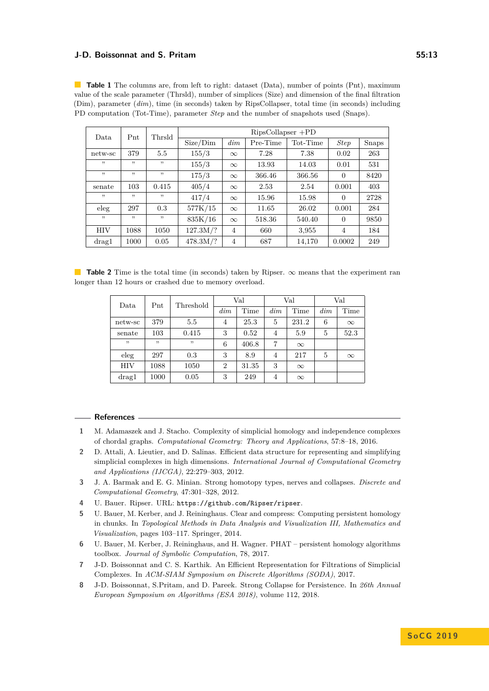<span id="page-12-4"></span>**Table 1** The columns are, from left to right: dataset (Data), number of points (Pnt), maximum value of the scale parameter (Thrsld), number of simplices (Size) and dimension of the final filtration (Dim), parameter (*dim*), time (in seconds) taken by RipsCollapser, total time (in seconds) including PD computation (Tot-Time), parameter *Step* and the number of snapshots used (Snaps).

| Data.      | Pnt  | Thrsld | $RipsCollapser + PD$ |                |          |          |             |       |  |
|------------|------|--------|----------------------|----------------|----------|----------|-------------|-------|--|
|            |      |        | Size/Dim             | dim            | Pre-Time | Tot-Time | <b>Step</b> | Snaps |  |
| netw-sc    | 379  | 5.5    | 155/3                | $\infty$       | 7.28     | 7.38     | 0.02        | 263   |  |
| "          | "    | , ,    | 155/3                | $\infty$       | 13.93    | 14.03    | 0.01        | 531   |  |
| , ,        | , 2  | , 2    | 175/3                | $\infty$       | 366.46   | 366.56   | $\theta$    | 8420  |  |
| senate     | 103  | 0.415  | 405/4                | $\infty$       | 2.53     | 2.54     | 0.001       | 403   |  |
| , ,        | , 2  | , 2    | 417/4                | $\infty$       | 15.96    | 15.98    | $\Omega$    | 2728  |  |
| eleg       | 297  | 0.3    | 577K/15              | $\infty$       | 11.65    | 26.02    | 0.001       | 284   |  |
| , ,        | , ,  | "      | 835K/16              | $\infty$       | 518.36   | 540.40   | $\Omega$    | 9850  |  |
| <b>HIV</b> | 1088 | 1050   | 127.3 M/?            | $\overline{4}$ | 660      | 3,955    | 4           | 184   |  |
| drag1      | 1000 | 0.05   | 478.3 M/?            | 4              | 687      | 14,170   | 0.0002      | 249   |  |

<span id="page-12-5"></span>**Table 2** Time is the total time (in seconds) taken by Ripser. ∞ means that the experiment ran longer than 12 hours or crashed due to memory overload.

| Data       | Pnt  | Threshold | Val            |       | Val |          | Val |          |
|------------|------|-----------|----------------|-------|-----|----------|-----|----------|
|            |      |           | dim            | Time  | dim | Time     | dim | Time     |
| netw-sc    | 379  | 5.5       | $\overline{4}$ | 25.3  | 5   | 231.2    | 6   | $\infty$ |
| senate     | 103  | 0.415     | 3              | 0.52  | 4   | 5.9      | 5   | 52.3     |
| , ,        | , ,  | , ,       | 6              | 406.8 | 7   | $\infty$ |     |          |
| eleg       | 297  | 0.3       | 3              | 8.9   | 4   | 217      | 5   | $\infty$ |
| <b>HIV</b> | 1088 | 1050      | $\overline{2}$ | 31.35 | 3   | $\infty$ |     |          |
| drag1      | 1000 | 0.05      | 3              | 249   | 4   | $\infty$ |     |          |

## **References**

- **1** M. Adamaszek and J. Stacho. Complexity of simplicial homology and independence complexes of chordal graphs. *Computational Geometry: Theory and Applications*, 57:8–18, 2016.
- **2** D. Attali, A. Lieutier, and D. Salinas. Efficient data structure for representing and simplifying simplicial complexes in high dimensions. *International Journal of Computational Geometry and Applications (IJCGA)*, 22:279–303, 2012.
- <span id="page-12-3"></span>**3** J. A. Barmak and E. G. Minian. Strong homotopy types, nerves and collapses. *Discrete and Computational Geometry*, 47:301–328, 2012.
- <span id="page-12-2"></span>**4** U. Bauer. Ripser. URL: <https://github.com/Ripser/ripser>.
- **5** U. Bauer, M. Kerber, and J. Reininghaus. Clear and compress: Computing persistent homology in chunks. In *Topological Methods in Data Analysis and Visualization III, Mathematics and Visualization*, pages 103–117. Springer, 2014.
- <span id="page-12-1"></span>**6** U. Bauer, M. Kerber, J. Reininghaus, and H. Wagner. PHAT – persistent homology algorithms toolbox. *Journal of Symbolic Computation*, 78, 2017.
- **7** J-D. Boissonnat and C. S. Karthik. An Efficient Representation for Filtrations of Simplicial Complexes. In *ACM-SIAM Symposium on Discrete Algorithms (SODA)*, 2017.
- <span id="page-12-0"></span>**8** J-D. Boissonnat, S.Pritam, and D. Pareek. Strong Collapse for Persistence. In *26th Annual European Symposium on Algorithms (ESA 2018)*, volume 112, 2018.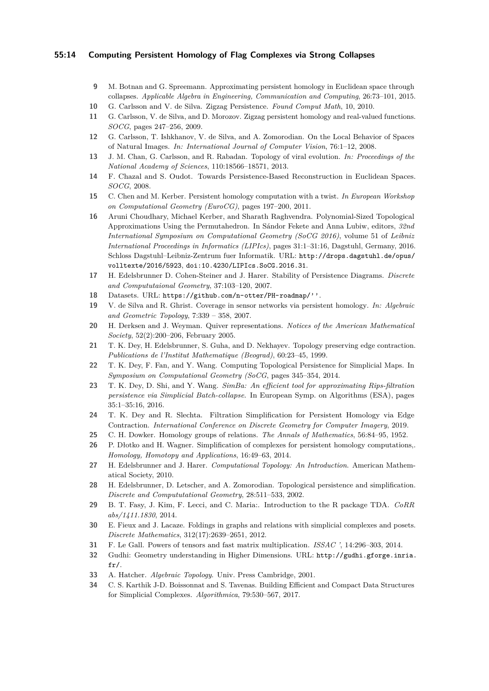## **55:14 Computing Persistent Homology of Flag Complexes via Strong Collapses**

- <span id="page-13-4"></span>**9** M. Botnan and G. Spreemann. Approximating persistent homology in Euclidean space through collapses. *Applicable Algebra in Engineering, Communication and Computing*, 26:73–101, 2015.
- <span id="page-13-9"></span>**10** G. Carlsson and V. de Silva. Zigzag Persistence. *Found Comput Math*, 10, 2010.
- **11** G. Carlsson, V. de Silva, and D. Morozov. Zigzag persistent homology and real-valued functions. *SOCG*, pages 247–256, 2009.
- **12** G. Carlsson, T. Ishkhanov, V. de Silva, and A. Zomorodian. On the Local Behavior of Spaces of Natural Images. *In: International Journal of Computer Vision*, 76:1–12, 2008.
- **13** J. M. Chan, G. Carlsson, and R. Rabadan. Topology of viral evolution. *In: Proceedings of the National Academy of Sciences*, 110:18566–18571, 2013.
- <span id="page-13-3"></span>**14** F. Chazal and S. Oudot. Towards Persistence-Based Reconstruction in Euclidean Spaces. *SOCG*, 2008.
- **15** C. Chen and M. Kerber. Persistent homology computation with a twist. *In European Workshop on Computational Geometry (EuroCG)*, pages 197–200, 2011.
- <span id="page-13-5"></span>**16** Aruni Choudhary, Michael Kerber, and Sharath Raghvendra. Polynomial-Sized Topological Approximations Using the Permutahedron. In Sándor Fekete and Anna Lubiw, editors, *32nd International Symposium on Computational Geometry (SoCG 2016)*, volume 51 of *Leibniz International Proceedings in Informatics (LIPIcs)*, pages 31:1–31:16, Dagstuhl, Germany, 2016. Schloss Dagstuhl–Leibniz-Zentrum fuer Informatik. URL: [http://drops.dagstuhl.de/opus/](http://drops.dagstuhl.de/opus/volltexte/2016/5923) [volltexte/2016/5923](http://drops.dagstuhl.de/opus/volltexte/2016/5923), [doi:10.4230/LIPIcs.SoCG.2016.31](http://dx.doi.org/10.4230/LIPIcs.SoCG.2016.31).
- **17** H. Edelsbrunner D. Cohen-Steiner and J. Harer. Stability of Persistence Diagrams. *Discrete and Compututaional Geometry*, 37:103–120, 2007.
- <span id="page-13-12"></span>**18** Datasets. URL: [https://github.com/n-otter/PH-roadmap/''](https://github.com/n-otter/PH-roadmap/).
- **19** V. de Silva and R. Ghrist. Coverage in sensor networks via persistent homology. *In: Algebraic and Geometric Topology*, 7:339 – 358, 2007.
- <span id="page-13-10"></span>**20** H. Derksen and J. Weyman. Quiver representations. *Notices of the American Mathematical Society*, 52(2):200–206, February 2005.
- **21** T. K. Dey, H. Edelsbrunner, S. Guha, and D. Nekhayev. Topology preserving edge contraction. *Publications de l'Institut Mathematique (Beograd)*, 60:23–45, 1999.
- <span id="page-13-7"></span>**22** T. K. Dey, F. Fan, and Y. Wang. Computing Topological Persistence for Simplicial Maps. In *Symposium on Computational Geometry (SoCG*, pages 345–354, 2014.
- <span id="page-13-6"></span>**23** T. K. Dey, D. Shi, and Y. Wang. *SimBa: An efficient tool for approximating Rips-filtration persistence via Simplicial Batch-collapse*. In European Symp. on Algorithms (ESA), pages 35:1–35:16, 2016.
- **24** T. K. Dey and R. Slechta. Filtration Simplification for Persistent Homology via Edge Contraction. *International Conference on Discrete Geometry for Computer Imagery*, 2019.
- **25** C. H. Dowker. Homology groups of relations. *The Annals of Mathematics*, 56:84–95, 1952.
- <span id="page-13-2"></span>**26** P. Dłotko and H. Wagner. Simplification of complexes for persistent homology computations,. *Homology, Homotopy and Applications*, 16:49–63, 2014.
- **27** H. Edelsbrunner and J. Harer. *Computational Topology: An Introduction*. American Mathematical Society, 2010.
- **28** H. Edelsbrunner, D. Letscher, and A. Zomorodian. Topological persistence and simplification. *Discrete and Compututational Geometry*, 28:511–533, 2002.
- **29** B. T. Fasy, J. Kim, F. Lecci, and C. Maria:. Introduction to the R package TDA. *CoRR abs/1411.1830*, 2014.
- <span id="page-13-11"></span>**30** E. Fieux and J. Lacaze. Foldings in graphs and relations with simplicial complexes and posets. *Discrete Mathematics*, 312(17):2639–2651, 2012.
- <span id="page-13-0"></span>**31** F. Le Gall. Powers of tensors and fast matrix multiplication. *ISSAC '*, 14:296–303, 2014.
- <span id="page-13-1"></span>**32** Gudhi: Geometry understanding in Higher Dimensions. URL: [http://gudhi.gforge.inria.](http://gudhi.gforge.inria.fr/) [fr/](http://gudhi.gforge.inria.fr/).
- <span id="page-13-8"></span>**33** A. Hatcher. *Algebraic Topology*. Univ. Press Cambridge, 2001.
- **34** C. S. Karthik J-D. Boissonnat and S. Tavenas. Building Efficient and Compact Data Structures for Simplicial Complexes. *Algorithmica*, 79:530–567, 2017.